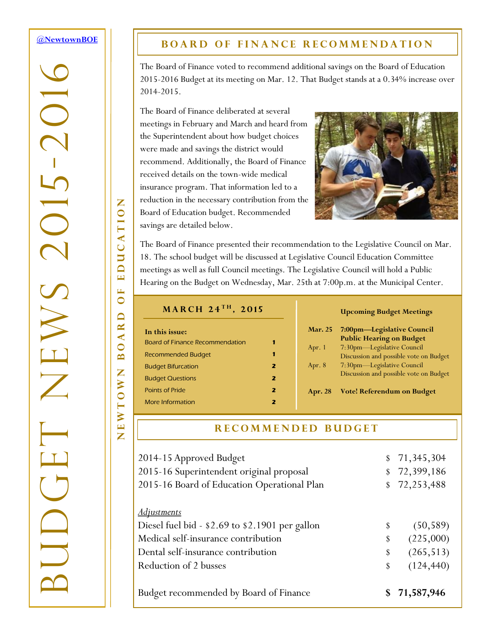### <span id="page-0-0"></span>**[@NewtownBOE](http://tiny.cc/nboe1503n2t1)**

-2016

 $\overline{C}$ 

 $\bm{\gtrsim}$ 

BUDGET NEWS 2015

## **BOARD OF FINANCE RECOMMENDATION**

The Board of Finance voted to recommend additional savings on the Board of Education 2015-2016 Budget at its meeting on Mar. 12. That Budget stands at a 0.34% increase over 2014-2015.

The Board of Finance deliberated at several meetings in February and March and heard from the Superintendent about how budget choices were made and savings the district would recommend. Additionally, the Board of Finance received details on the town-wide medical insurance program. That information led to a reduction in the necessary contribution from the Board of Education budget. Recommended savings are detailed below.



The Board of Finance presented their recommendation to the Legislative Council on Mar. 18. The school budget will be discussed at Legislative Council Education Committee meetings as well as full Council meetings. The Legislative Council will hold a Public Hearing on the Budget on Wednesday, Mar. 25th at 7:00p.m. at the Municipal Center.

#### **M a r c h 2 4 t h , 2 0 1 5**

| In this issue:                         |   |
|----------------------------------------|---|
| <b>Board of Finance Recommendation</b> |   |
| Recommended Budget                     | 1 |
| <b>Budget Bifurcation</b>              | 2 |
| <b>Budget Questions</b>                | 2 |
| <b>Points of Pride</b>                 | 2 |
| More Information                       |   |

#### **Upcoming Budget Meetings**

| <b>Mar. 25</b> | 7:00pm-Legislative Council             |
|----------------|----------------------------------------|
|                | <b>Public Hearing on Budget</b>        |
| Apr. 1         | 7:30pm—Legislative Council             |
|                | Discussion and possible vote on Budget |
| Apr. 8         | 7:30pm-Legislative Council             |
|                | Discussion and possible vote on Budget |
|                |                                        |

**Apr. 28 Vote! Referendum on Budget** 

### **R E C O M M E N D E D B U D G E T**

| 2014-15 Approved Budget                         |    | \$71,345,304 |
|-------------------------------------------------|----|--------------|
| 2015-16 Superintendent original proposal        | \$ | 72,399,186   |
| 2015-16 Board of Education Operational Plan     |    | \$72,253,488 |
|                                                 |    |              |
| <u>Adjustments</u>                              |    |              |
| Diesel fuel bid - \$2.69 to \$2.1901 per gallon | \$ | (50, 589)    |
| Medical self-insurance contribution             | \$ | (225,000)    |
| Dental self-insurance contribution              | \$ | (265, 513)   |
| Reduction of 2 busses                           |    | (124, 440)   |
|                                                 |    |              |
| Budget recommended by Board of Finance          | S  | 71,587,946   |

EDUCATION NEWTOWN BOARD OF EDUCATION  $\mathbf{L}$  $\bullet$  $\Box$ **AR**  $\bullet$  $\mathbf{\underline{m}}$ Z O W EWT

Z